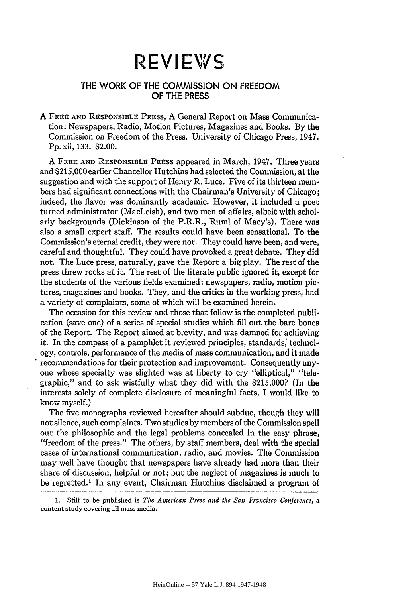## **REVIEWS**

## THE WORK OF THE COMMISSION ON FREEDOM OF THE PRESS

**A FREE AND RESPONSIBLE PRESS, A** General Report on Mass Communication: Newspapers, Radio, Motion Pictures, Magazines and Books. By the Commission on Freedom of the Press. University of Chicago Press, 1947. Pp. xii, 133. \$2.00.

A FREE **AND** RESPONSIBLE PRESS appeared in March, 1947. Three years and \$215,000 earlier Chancellor Hutchins had selected the Commission, at the suggestion and with the support of Henry R. Luce. Five of its thirteen members had significant connections with the Chairman's University of Chicago; indeed, the flavor was dominantly academic. However, it included a poet turned administrator (MacLeish), and two men of affairs, albeit with scholarly backgrounds (Dickinson of the P.R.R., Ruml of Macy's). There was also a small expert staff. The results could have been sensational. To the Commission's eternal credit, they were not. They could have been, and were, careful and thoughtful. They could have provoked a great debate. They did not. The Luce press, naturally, gave the Report a big play. The rest of the press threw rocks at it. The rest of the literate public ignored it, except for the students of the various fields examined: newspapers, radio, motion pictures, magazines and books. They, and the critics in the working press, had a variety of complaints, some of which will be examined herein.

The occasion for this review and those that follow is the completed publication (save one) of a series of special studies which fill out the bare bones of the Report. The Report aimed at brevity, and was damned for achieving it. In the compass of a pamphlet it reviewed principles, standards; technology, controls, performance of the media of mass communication, and it made recommendations for their protection and improvement. Consequently anyone whose specialty was slighted was at liberty to cry "elliptical," "telegraphic," and to ask wistfully what they did with the \$215,000? (In the interests solely of complete disclosure of meaningful facts, I would like to know myself.)

The five monographs reviewed hereafter should subdue, though they will not silence, such complaints. Two studies by members of the Commission spell out the philosophic and the legal problems concealed in the easy phrase, "freedom of the press." The others, by staff members, deal with the special cases of international communication, radio, and movies. The Commission may well have thought that newspapers have already had more than their share of discussion, helpful or not; but the neglect of magazines is much to be regretted.' In any event, Chairman Hutchins disclaimed a program of

**1. Still** to be published is *The American Press and the San Francisco Conference, a* content study covering all mass media.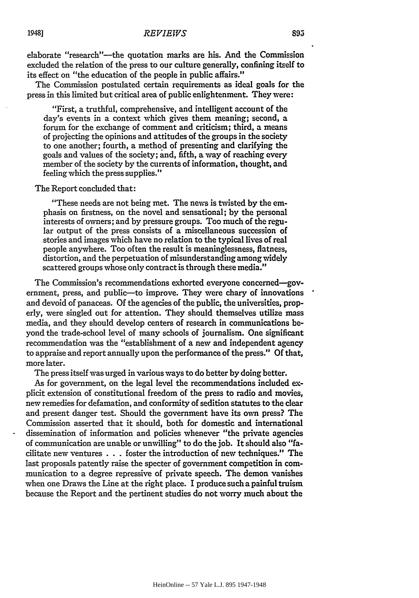elaborate "research"-the quotation marks are his. And the Commission excluded the relation of the press to our culture generally, confining itself to its effect on "the education of the people in public affairs."

The Commission postulated certain requirements as ideal goals for the press in this limited but critical area of public enlightenment. They were:

"First, a truthful, comprehensive, and intelligent account of the day's events in a context which gives them meaning; second, a forum for the exchange of comment and criticism; third, a means of projecting the opinions and attitudes of the groups in the society to one another; fourth, a method of presenting and clarifying the goals and values of the society; and, fifth, a way of reaching every member of the society by the currents of information, thought, and feeling which the press supplies."

The Report concluded that:

"These needs are not being met. The news is twisted by the emphasis on firstness, on the novel and sensational; by the personal interests of owners; and by pressure groups. Too much of the regular output of the press consists of a miscellaneous succession of stories and images which have no relation to the typical lives of real people anywhere. Too often the result is meaninglessness, flatness, distortion, and the perpetuation of misunderstanding among widely scattered groups whose only contract is through these media."

The Commission's recommendations exhorted everyone concerned—government, press, and public-to improve. They were chary of innovations and devoid of panaceas. **Of** the agencies of the public, the universities, properly, were singled out for attention. They should themselves utilize mass media, and they should develop centers of research in communications beyond the trade-school level of many schools of journalism. One significant recommendation was the "establishment of a new and independent agency to appraise and report annually upon the performance of the press." Of that, more later.

The press itself was urged in various ways to do better by doing better.

As for government, on the legal level the recommendations included explicit extension of constitutional freedom of the press to radio and movies, new remedies for defamation, and conformity of sedition statutes to the clear and present danger test. Should the government have its own press? The Commission asserted that it should, both for domestic and international dissemination of information and policies whenever "the private agencies of communication are unable or unwilling" to do the job. It should also "facilitate new ventures ...foster the introduction of new techniques." The last proposals patently raise the specter of government competition in communication to a degree repressive of private speech. The demon vanishes when one Draws the Line at the right place. I produce such a painful truism because the Report and the pertinent studies do not worry much about the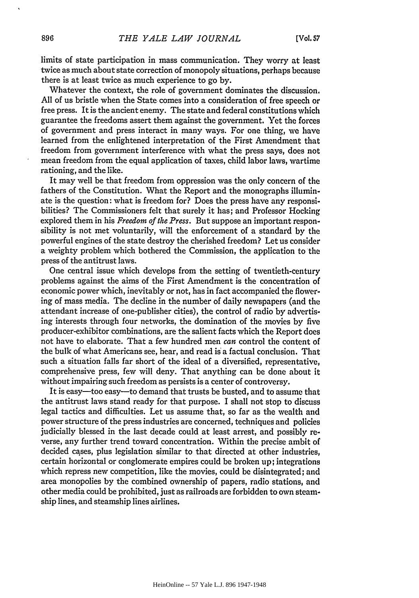limits of state participation in mass communication. They worry at least twice as much about state correction of monopoly situations, perhaps because there is at least twice as much experience to go **by.**

Whatever the context, the role of government dominates the discussion. **All** of us bristle when the State comes into a consideration of free speech or free press. It is the ancient enemy. The state and federal constitutions which guarantee the freedoms assert them against the government. Yet the forces of government and press interact in many ways. For one thing, we have learned from the enlightened interpretation of the First Amendment that freedom from government interference with what the press says, does not mean freedom from the equal application of taxes, child labor laws, wartime rationing, and the like.

It may well be that freedom from oppression was the only concern of the fathers of the Constitution. What the Report and the monographs illuminate is the question: what is freedom for? Does the press have any responsibilities? The Commissioners felt that surely it has; and Professor Hocking explored them in his *Freedom of the Press.* But suppose an important responsibility is not met voluntarily, will the enforcement of a standard **by** the powerful engines of the state destroy the cherished freedom? Let us consider a weighty problem which bothered the Commission, the application to the press of the antitrust laws.

One central issue which develops from the setting of twentieth-century problems against the aims of the First Amendment is the concentration of economic power which, inevitably or not, has in fact accompanied the flowering of mass media. The decline in the number of daily newspapers (and the attendant increase of one-publisher cities), the control of radio **by** advertising interests through four networks, the domination of the movies **by** five producer-exhibitor combinations, are the salient facts which the Report does not have to elaborate. That a few hundred men *can* control the content of the bulk of what Americans see, hear, and read **is** a factual conclusion. That such a situation falls far short of the ideal of a diversified, representative, comprehensive press, few will deny. That anything can be done about it without impairing such freedom as persists is a center of controversy.

It is easy—too easy—to demand that trusts be busted, and to assume that the antitrust laws stand ready for that purpose. I shall not stop to discuss legal tactics and difficulties. Let us assume that, so far as the wealth and power structure of the press industries are concerned, techniques and policies judicially blessed in the last decade could at least arrest, and possibly reverse, any further trend toward concentration. Within the precise ambit of decided cases, plus legislation similar to that directed at other industries, certain horizontal or conglomerate empires could be broken **up;** integrations which repress new competition, like the movies, could be disintegrated; and area monopolies **by** the combined ownership of papers, radio stations, and other media could be prohibited, just as railroads are forbidden to own steamship lines, and steamship lines airlines.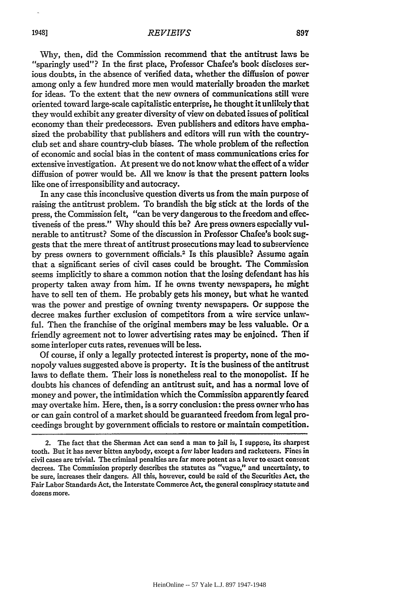## *REVIEWS*

Why, then, did the Commission recommend that the antitrust laws be "sparingly used"? In the first place, Professor Chafee's book discloses serious doubts, in the absence of verified data, whether the diffusion of power among only a few hundred more men would materially broaden the market for ideas. To the extent that the new owners of communications still were oriented toward large-scale capitalistic enterprise, he thought it unlikelythat they would exhibit any greater diversity of view on debated issues of political economy than their predecessors. Even publishers and editors have emphasized the probability that publishers and editors will run with the countryclub set and share country-club biases. The whole problem of the reflection of economic and social bias in the content of mass communications cries for extensive investigation. At present we do not know what the effect of a wider diffusion of power would be. All we know is that the present pattern looks like one of irresponsibility and autocracy.

In any case this inconclusive question diverts us from the main purpose of raising the antitrust problem. To brandish the big stick at the lords of the press, the Commission felt, "can be very dangerous to the freedom and effectiveness of the press." Why should this be? Are press owners especially vulnerable to antitrust? Some of the discussion in Professor Chafee's book suggests that the mere threat of antitrust prosecutions may lead to subservience by press owners to government officials.<sup>2</sup> Is this plausible? Assume again that a significant series of civil cases could be brought. The Commission seems implicitly to share a common notion that the losing defendant has his property taken away from him. If he owns twenty newspapers, he might have to sell ten of them. He probably gets his money, but what he wanted was the power and prestige of owning twenty newspapers. Or suppose the decree makes further exclusion of competitors from a wire service unlawful. Then the franchise of the original members may be less valuable. Or a friendly agreement not to lower advertising rates may be enjoined. Then if some interloper cuts rates, revenues will be less.

Of course, if only a legally protected interest is property, none of the monopoly values suggested above is property. It is the business of the antitrust laws to deflate them. Their loss is nonetheless real to the monopolist. If he doubts his chances of defending an antitrust suit, and has a normal love of money and power, the intimidation which the Commissibn apparently feared may overtake him. Here, then, is a sorry conclusion: the press owner who has or can gain control of a market should be guaranteed freedom from legal proceedings brought by government officials to restore or maintain competition.

<sup>2.</sup> The fact that the Sherman Act can send a man to jail is, **I** suppose, its sharpest tooth. But it has never bitten anybody, except a few labor leaders and racketeers. Fines in civil cases are trivial. The criminal penalties are far more potent as a lever to exact consent decrees. The Commission properly describes the statutes as "vague," and uncertainty, to be sure, increases their dangers. All this, however, could be said of the Securities Act, the Fair Labor Standards Act, the Interstate Commerce Act, the general conspiracy statute and dozens more.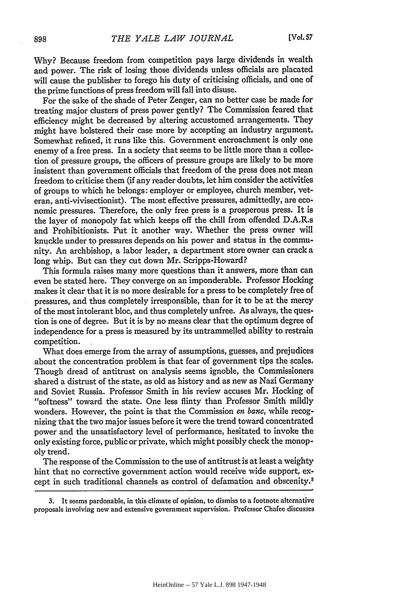Why? Because freedom from competition pays large dividends in wealth and power. The risk of losing those dividends unless officials are placated will cause the publisher to forego his duty of criticising officials, and one of the prime functions of press freedom will fall into disuse.

For the sake of the shade of Peter Zenger, can no better case be made for treating major clusters of press power gently? The Commission feared that efficiency might be decreased by altering accustomed arrangements. They might have bolstered their case more by accepting an industry argument, Somewhat refined, it runs like this. Government encroachment is only one enemy of a free press. In a society that seems to be little more than a collection of pressure groups, the officers of pressure groups are likely to be more insistent than government officials that freedom of the press does not mean freedom to criticise them (if any reader doubts, let him consider the activities of groups to which he belongs: employer or employee, church member, veteran, anti-vivisectionist). The most effective pressures, admittedly, are economic pressures. Therefore, the only free press is a prosperous press. It is the layer of monopoly fat which keeps off the chill from offended D.A.R.s and Prohibitionists. Put it another way. Whether the press owner will knuckle under to pressures depends on his power and status in the community. An archbishop, a labor leader, a department store owner can crack a long whip. But can they cut down Mr. Scripps-Howard?

This formula raises many more questions than it answers, more than can even be stated here. They converge on an imponderable. Professor Hocking makes it clear that it is no more desirable for a press to be completely free of pressures, and thus completely irresponsible, than for it to be at the mercy of the most intolerant bloc, and thus completely unfree. As always, the question is one of degree. But it is by no means clear that the optimum degree of independence for a press is measured by its untrammelled ability to restrain competition.

What does emerge from the array of assumptions, guesses, and prejudices about the concentration problem is that fear of government tips the scales. Though dread of antitrust on analysis seems ignoble, the Commissioners shared a distrust of the state, as old as history and as new as Nazi Germany and Soviet Russia. Professor Smith in his review accuses Mr. Hocking of "softness" toward the state. One less flinty than Professor Smith mildly wonders. However, the point is that the Commission *en bane,* while recognizing that the two major issues before it were the trend toward concentrated power and the unsatisfactory level of performance, hesitated to invoke the only existing force, public or private, which might possibly check the monopoly trend.

The response of the Commission to the use of antitrust is at least a weighty hint that no corrective government action would receive wide support, except in such traditional channels as control of defamation and obscenity.'

**3.** It seems pardonable, in this climate of opinion, to dismiss to a footnote alternative proposals involving new and extensive government supervision. Professor Chafee discusses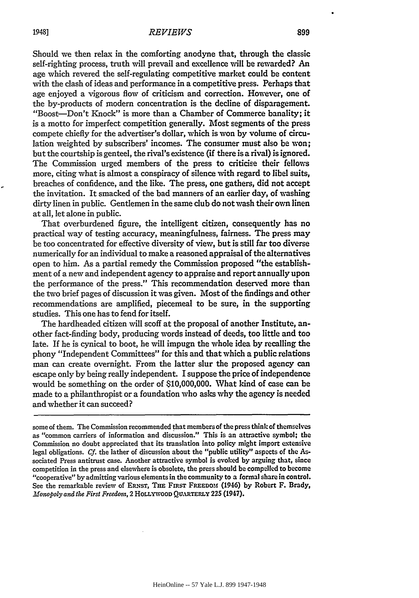Should we then relax in the comforting anodyne that, through the classic self-righting process, truth will prevail and excellence will be rewarded? An age which revered the self-regulating competitive market could be content with the clash of ideas and performance in a competitive press. Perhaps that age enjoyed a vigorous flow of criticism and correction. However, one of the by-products of modem concentration is the decline of disparagement. "Boost-Don't Knock" is more than a Chamber of Commerce banality; it is a motto for imperfect competition generally. Most segments of the press compete chiefly for the advertiser's dollar, which is won by volume of circulation weighted by subscribers' incomes. The consumer must also be won; but the courtship is genteel, the rival's existence (if there is a rival) is ignored. The Commission urged members of the press to criticise their fellows more, citing what is almost a conspiracy of silence with regard to libel suits, breaches of confidence, and the like. The press, one gathers, did not accept the invitation. It smacked of the bad manners of an earlier day, of washing dirty linen in public. Gentlemen in the same club do not wash their own linen at all, let alone in public.

That overburdened figure, the intelligent citizen, consequently has no practical way of testing accuracy, meaningfulness, fairness. The press may be too concentrated for effective diversity of view, but is still far too diverse numerically for an individual to make a reasoned appraisal of the alternatives open to him. As a partial remedy the Commission proposed "the establishment of a new and independent agency to appraise and report annually upon the performance of the press." This recommendation deserved more than the two brief pages of discussion it was given. Most of the findings and other recommendations are amplified, piecemeal to be sure, in the supporting studies. This one has to fend for itself.

The hardheaded citizen will scoff at the proposal of another Institute, another fact-finding body, producing words instead of deeds, too little and too late. If he is cynical to boot, he will impugn the whole idea by recalling the phony "Independent Committees" for this and that which a public relations man can create overnight. From the latter slur the proposed agency can escape only by being really independent. I suppose the price of independence would be something on the order of \$10,000,000. What kind of case can be made to a philanthropist or a foundation who asks why the agency is needed and whether it can succeed?

some of them. The Commission recommended that members of the press think of themselves as "common carriers of information and discussion." This is an attractive symbol; the Commission no doubt appreciated that its translation into policy might import extensive legal obligations. *Cf.* the lather of discussion about the "public utility" aspects of the Associated Press antitrust case. Another attractive symbol is evoked by arguing that, since competition in the press and elsewhere is obsolete, the press should be compelled to become "cooperative" by admitting various elements in the community to a formal share in control. See the remarkable review of ERNsT, **THE** FIRsT **FREEDOM** (1946) by Robert F. Brady, *Monopoly and the First Freedom,* 2 **HOLLYWOOD QUARTERLY** 225 (1947).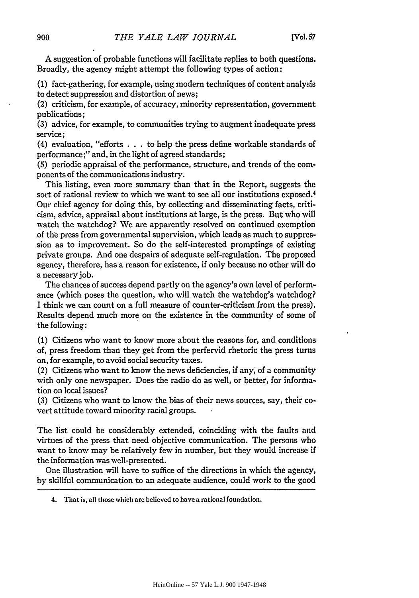A suggestion of probable functions will facilitate replies to both questions. Broadly, the agency might attempt the following types of action:

(1) fact-gathering, for example, using modern techniques of content analysis to detect suppression and distortion of news;

(2) criticism, for example, of accuracy, minority representation, government publications;

(3) advice, for example, to communities trying to augment inadequate press service;

(4) evaluation, "efforts . . . to help the press define workable standards of performance;" and, in the light of agreed standards;

(5) periodic appraisal of the performance, structure, and trends of the components of the communications industry.

This listing, even more summary than that in the Report, suggests the sort of rational review to which we want to see all our institutions exposed.<sup>4</sup> Our chief agency for doing this, by collecting and disseminating facts, criticism, advice, appraisal about institutions at large, is the press. But who will watch the watchdog? We are apparently resolved on continued exemption of the press from governmental supervision, which leads as much to suppression as to improvement. So do the self-interested promptings of existing private groups. And one despairs of adequate self-regulation. The proposed agency, therefore, has a reason for existence, if only because no other will do a necessary job.

The chances of success depend partly on the agency's own level of performance (which poses the question, who will watch the watchdog's watchdog? I think we can count on a full measure of counter-criticism from the press). Results depend much more on the existence in the community of some of the following:

(1) Citizens who want to know more about the reasons for, and conditions of, press freedom than they get from the perfervid rhetoric the press turns on, for example, to avoid social security taxes.

(2) Citizens who want to know the news deficiencies, if any; of a community with only one newspaper. Does the radio do as well, or better, for information on local issues?

(3) Citizens who want to know the bias of their news sources, say, their covert attitude toward minority racial groups.

The list could be considerably extended, coinciding with the faults and virtues of the press that need objective communication. The persons who want to know may be relatively few in number, but they would increase if the information was well-presented.

One illustration will have to suffice of the directions in which the agency, by skillful communication to an adequate audience, could work to the good

4. That is, all those which are believed to have a rational foundation.